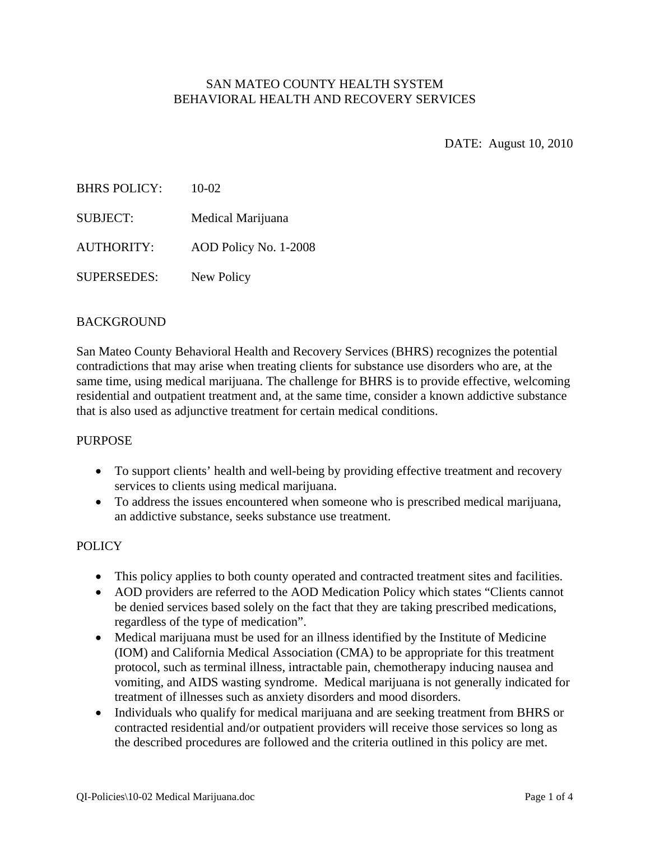## SAN MATEO COUNTY HEALTH SYSTEM BEHAVIORAL HEALTH AND RECOVERY SERVICES

DATE: August 10, 2010

| <b>BHRS POLICY:</b> | $10-02$               |
|---------------------|-----------------------|
| <b>SUBJECT:</b>     | Medical Marijuana     |
| <b>AUTHORITY:</b>   | AOD Policy No. 1-2008 |
| <b>SUPERSEDES:</b>  | New Policy            |

### BACKGROUND

San Mateo County Behavioral Health and Recovery Services (BHRS) recognizes the potential contradictions that may arise when treating clients for substance use disorders who are, at the same time, using medical marijuana. The challenge for BHRS is to provide effective, welcoming residential and outpatient treatment and, at the same time, consider a known addictive substance that is also used as adjunctive treatment for certain medical conditions.

#### **PURPOSE**

- To support clients' health and well-being by providing effective treatment and recovery services to clients using medical marijuana.
- To address the issues encountered when someone who is prescribed medical marijuana, an addictive substance, seeks substance use treatment.

#### POLICY

- This policy applies to both county operated and contracted treatment sites and facilities.
- AOD providers are referred to the AOD Medication Policy which states "Clients cannot" be denied services based solely on the fact that they are taking prescribed medications, regardless of the type of medication".
- Medical marijuana must be used for an illness identified by the Institute of Medicine (IOM) and California Medical Association (CMA) to be appropriate for this treatment protocol, such as terminal illness, intractable pain, chemotherapy inducing nausea and vomiting, and AIDS wasting syndrome. Medical marijuana is not generally indicated for treatment of illnesses such as anxiety disorders and mood disorders.
- Individuals who qualify for medical marijuana and are seeking treatment from BHRS or contracted residential and/or outpatient providers will receive those services so long as the described procedures are followed and the criteria outlined in this policy are met.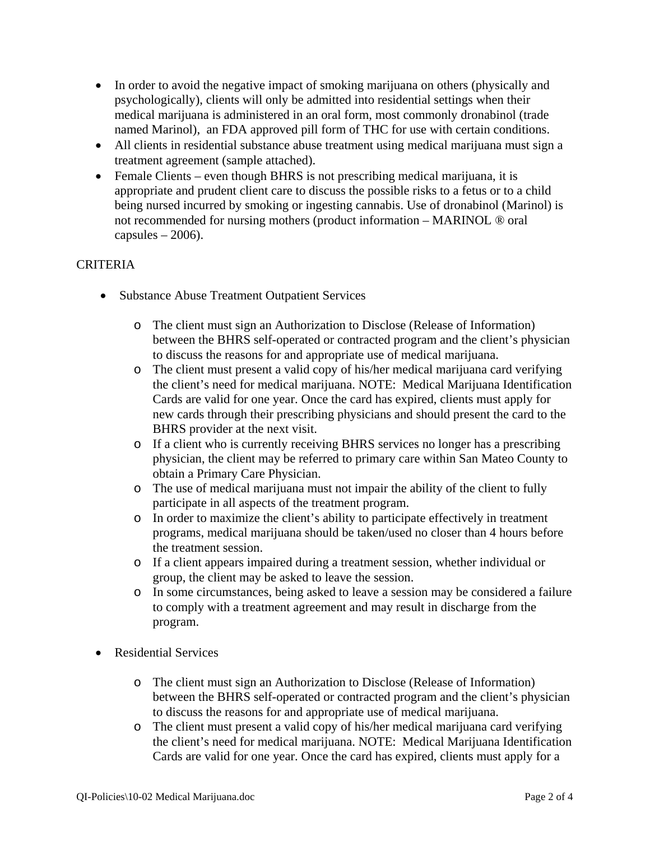- In order to avoid the negative impact of smoking marijuana on others (physically and psychologically), clients will only be admitted into residential settings when their medical marijuana is administered in an oral form, most commonly dronabinol (trade named Marinol), an FDA approved pill form of THC for use with certain conditions.
- All clients in residential substance abuse treatment using medical marijuana must sign a treatment agreement (sample attached).
- Female Clients even though BHRS is not prescribing medical marijuana, it is appropriate and prudent client care to discuss the possible risks to a fetus or to a child being nursed incurred by smoking or ingesting cannabis. Use of dronabinol (Marinol) is not recommended for nursing mothers (product information – MARINOL ® oral capsules  $-2006$ ).

## **CRITERIA**

- Substance Abuse Treatment Outpatient Services
	- o The client must sign an Authorization to Disclose (Release of Information) between the BHRS self-operated or contracted program and the client's physician to discuss the reasons for and appropriate use of medical marijuana.
	- o The client must present a valid copy of his/her medical marijuana card verifying the client's need for medical marijuana. NOTE: Medical Marijuana Identification Cards are valid for one year. Once the card has expired, clients must apply for new cards through their prescribing physicians and should present the card to the BHRS provider at the next visit.
	- o If a client who is currently receiving BHRS services no longer has a prescribing physician, the client may be referred to primary care within San Mateo County to obtain a Primary Care Physician.
	- o The use of medical marijuana must not impair the ability of the client to fully participate in all aspects of the treatment program.
	- o In order to maximize the client's ability to participate effectively in treatment programs, medical marijuana should be taken/used no closer than 4 hours before the treatment session.
	- o If a client appears impaired during a treatment session, whether individual or group, the client may be asked to leave the session.
	- o In some circumstances, being asked to leave a session may be considered a failure to comply with a treatment agreement and may result in discharge from the program.
- Residential Services
	- o The client must sign an Authorization to Disclose (Release of Information) between the BHRS self-operated or contracted program and the client's physician to discuss the reasons for and appropriate use of medical marijuana.
	- o The client must present a valid copy of his/her medical marijuana card verifying the client's need for medical marijuana. NOTE: Medical Marijuana Identification Cards are valid for one year. Once the card has expired, clients must apply for a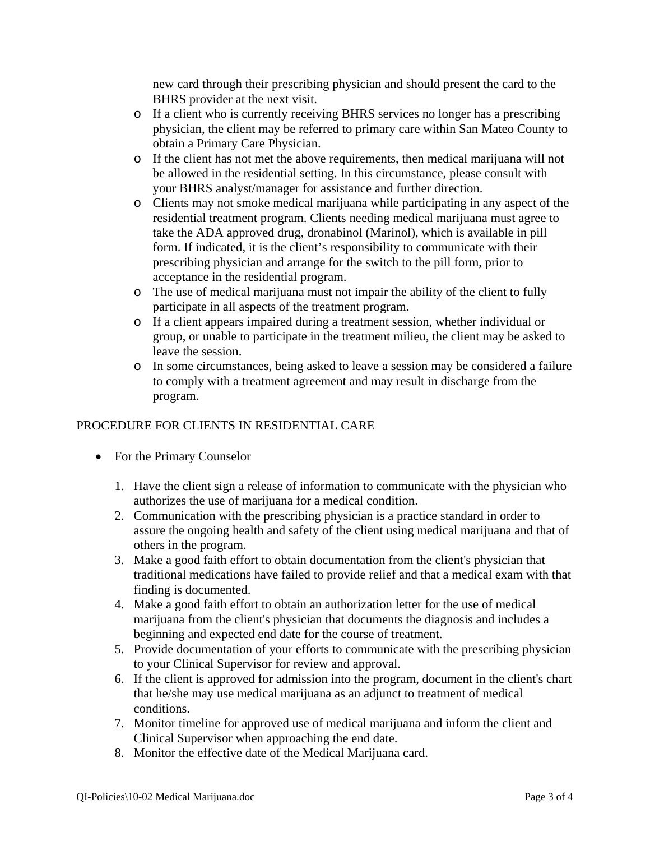new card through their prescribing physician and should present the card to the BHRS provider at the next visit.

- o If a client who is currently receiving BHRS services no longer has a prescribing physician, the client may be referred to primary care within San Mateo County to obtain a Primary Care Physician.
- o If the client has not met the above requirements, then medical marijuana will not be allowed in the residential setting. In this circumstance, please consult with your BHRS analyst/manager for assistance and further direction.
- o Clients may not smoke medical marijuana while participating in any aspect of the residential treatment program. Clients needing medical marijuana must agree to take the ADA approved drug, dronabinol (Marinol), which is available in pill form. If indicated, it is the client's responsibility to communicate with their prescribing physician and arrange for the switch to the pill form, prior to acceptance in the residential program.
- o The use of medical marijuana must not impair the ability of the client to fully participate in all aspects of the treatment program.
- o If a client appears impaired during a treatment session, whether individual or group, or unable to participate in the treatment milieu, the client may be asked to leave the session.
- o In some circumstances, being asked to leave a session may be considered a failure to comply with a treatment agreement and may result in discharge from the program.

# PROCEDURE FOR CLIENTS IN RESIDENTIAL CARE

- For the Primary Counselor
	- 1. Have the client sign a release of information to communicate with the physician who authorizes the use of marijuana for a medical condition.
	- 2. Communication with the prescribing physician is a practice standard in order to assure the ongoing health and safety of the client using medical marijuana and that of others in the program.
	- 3. Make a good faith effort to obtain documentation from the client's physician that traditional medications have failed to provide relief and that a medical exam with that finding is documented.
	- 4. Make a good faith effort to obtain an authorization letter for the use of medical marijuana from the client's physician that documents the diagnosis and includes a beginning and expected end date for the course of treatment.
	- 5. Provide documentation of your efforts to communicate with the prescribing physician to your Clinical Supervisor for review and approval.
	- 6. If the client is approved for admission into the program, document in the client's chart that he/she may use medical marijuana as an adjunct to treatment of medical conditions.
	- 7. Monitor timeline for approved use of medical marijuana and inform the client and Clinical Supervisor when approaching the end date.
	- 8. Monitor the effective date of the Medical Marijuana card.